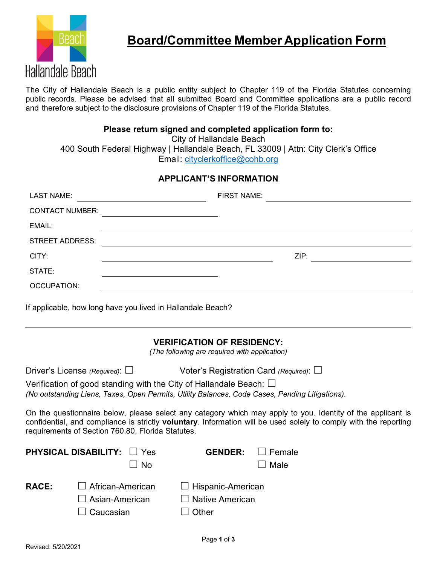

The City of Hallandale Beach is a public entity subject to Chapter 119 of the Florida Statutes concerning public records. Please be advised that all submitted Board and Committee applications are a public record and therefore subject to the disclosure provisions of Chapter 119 of the Florida Statutes.

## **Please return signed and completed application form to:**

City of Hallandale Beach

400 South Federal Highway | Hallandale Beach, FL 33009 | Attn: City Clerk's Office Email: [cityclerkoffice@cohb.org](mailto:cityclerkoffice@cohb.org)

## **APPLICANT'S INFORMATION**

| <b>LAST NAME:</b>                                                                                                                                                                                                                                                                    |                                                 |                                                      | <b>FIRST NAME:</b> |  |  |  |
|--------------------------------------------------------------------------------------------------------------------------------------------------------------------------------------------------------------------------------------------------------------------------------------|-------------------------------------------------|------------------------------------------------------|--------------------|--|--|--|
| <b>CONTACT NUMBER:</b>                                                                                                                                                                                                                                                               |                                                 |                                                      |                    |  |  |  |
| EMAIL:                                                                                                                                                                                                                                                                               |                                                 |                                                      |                    |  |  |  |
| <b>STREET ADDRESS:</b>                                                                                                                                                                                                                                                               |                                                 |                                                      |                    |  |  |  |
| CITY:                                                                                                                                                                                                                                                                                |                                                 |                                                      | ZIP:               |  |  |  |
| STATE:                                                                                                                                                                                                                                                                               |                                                 |                                                      |                    |  |  |  |
| <b>OCCUPATION:</b>                                                                                                                                                                                                                                                                   |                                                 |                                                      |                    |  |  |  |
| If applicable, how long have you lived in Hallandale Beach?                                                                                                                                                                                                                          |                                                 |                                                      |                    |  |  |  |
| <b>VERIFICATION OF RESIDENCY:</b><br>(The following are required with application)                                                                                                                                                                                                   |                                                 |                                                      |                    |  |  |  |
|                                                                                                                                                                                                                                                                                      | Driver's License (Required): $\square$          | Voter's Registration Card (Required): $\Box$         |                    |  |  |  |
| Verification of good standing with the City of Hallandale Beach: $\Box$<br>(No outstanding Liens, Taxes, Open Permits, Utility Balances, Code Cases, Pending Litigations).                                                                                                           |                                                 |                                                      |                    |  |  |  |
|                                                                                                                                                                                                                                                                                      |                                                 |                                                      |                    |  |  |  |
| On the questionnaire below, please select any category which may apply to you. Identity of the applicant is<br>confidential, and compliance is strictly voluntary. Information will be used solely to comply with the reporting<br>requirements of Section 760.80, Florida Statutes. |                                                 |                                                      |                    |  |  |  |
| <b>PHYSICAL DISABILITY:</b>                                                                                                                                                                                                                                                          | ∟l Yes                                          | <b>GENDER:</b>                                       | Female             |  |  |  |
|                                                                                                                                                                                                                                                                                      | No                                              |                                                      | Male               |  |  |  |
| <b>RACE:</b>                                                                                                                                                                                                                                                                         | African-American<br>Asian-American<br>Caucasian | Hispanic-American<br><b>Native American</b><br>Other |                    |  |  |  |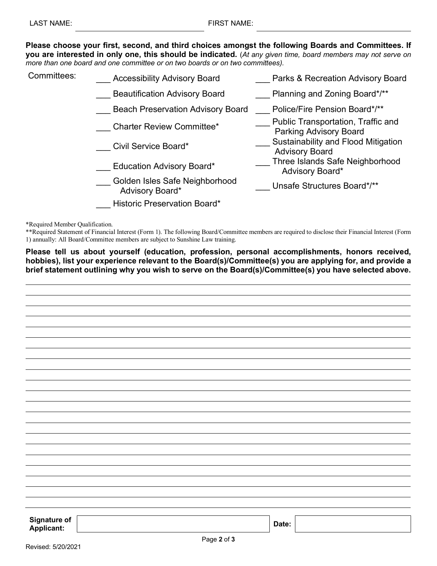**Please choose your first, second, and third choices amongst the following Boards and Committees. If you are interested in only one, this should be indicated.** (*At any given time, board members may not serve on more than one board and one committee or on two boards or on two committees).*

| Committees: | <b>Accessibility Advisory Board</b>               | Parks & Recreation Advisory Board                                   |
|-------------|---------------------------------------------------|---------------------------------------------------------------------|
|             | <b>Beautification Advisory Board</b>              | Planning and Zoning Board*/**                                       |
|             | <b>Beach Preservation Advisory Board</b>          | Police/Fire Pension Board*/**                                       |
|             | <b>Charter Review Committee*</b>                  | Public Transportation, Traffic and<br><b>Parking Advisory Board</b> |
|             | Civil Service Board*                              | Sustainability and Flood Mitigation<br><b>Advisory Board</b>        |
|             | <b>Education Advisory Board*</b>                  | Three Islands Safe Neighborhood<br>Advisory Board*                  |
|             | Golden Isles Safe Neighborhood<br>Advisory Board* | Unsafe Structures Board*/**                                         |
|             | <b>Historic Preservation Board*</b>               |                                                                     |

\*Required Member Qualification.

\*\*Required Statement of Financial Interest (Form 1). The following Board/Committee members are required to disclose their Financial Interest (Form 1) annually: All Board/Committee members are subject to Sunshine Law training.

**Please tell us about yourself (education, profession, personal accomplishments, honors received, hobbies), list your experience relevant to the Board(s)/Committee(s) you are applying for, and provide a brief statement outlining why you wish to serve on the Board(s)/Committee(s) you have selected above.**

| <b>Signature of<br/>Applicant:</b> |             | Date: |
|------------------------------------|-------------|-------|
|                                    |             |       |
|                                    | Page 2 of 3 |       |
| .<br>.                             |             |       |